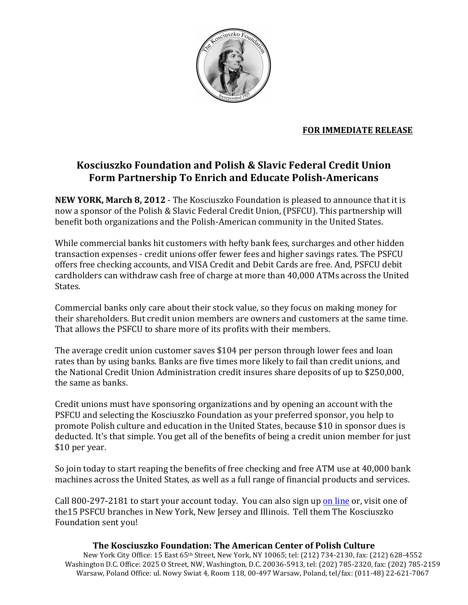

## **FOR IMMEDIATE RELEASE**

## **Kosciuszko\$Foundation\$and\$Polish\$&\$Slavic\$Federal\$Credit\$Union\$** Form Partnership To Enrich and Educate Polish-Americans

**NEW YORK, March 8, 2012** - The Kosciuszko Foundation is pleased to announce that it is now a sponsor of the Polish & Slavic Federal Credit Union, (PSFCU). This partnership will benefit both organizations and the Polish-American community in the United States.

While commercial banks hit customers with hefty bank fees, surcharges and other hidden transaction expenses - credit unions offer fewer fees and higher savings rates. The PSFCU offers free checking accounts, and VISA Credit and Debit Cards are free. And, PSFCU debit cardholders can withdraw cash free of charge at more than 40,000 ATMs across the United States.

Commercial banks only care about their stock value, so they focus on making money for their shareholders. But credit union members are owners and customers at the same time. That allows the PSFCU to share more of its profits with their members.

The average credit union customer saves  $$104$  per person through lower fees and loan rates than by using banks. Banks are five times more likely to fail than credit unions, and the National Credit Union Administration credit insures share deposits of up to \$250,000, the same as banks.

Credit unions must have sponsoring organizations and by opening an account with the PSFCU and selecting the Kosciuszko Foundation as your preferred sponsor, you help to promote Polish culture and education in the United States, because \$10 in sponsor dues is deducted. It's that simple. You get all of the benefits of being a credit union member for just \$10 per year.

So join today to start reaping the benefits of free checking and free ATM use at 40,000 bank machines across the United States, as well as a full range of financial products and services.

Call  $800-297-2181$  to start your account today. You can also sign up on line or, visit one of the 15 PSFCU branches in New York, New Jersey and Illinois. Tell them The Kosciuszko Foundation sent you!

## **The Kosciuszko Foundation: The American Center of Polish Culture**

New York City Office: 15 East 65<sup>th</sup> Street, New York, NY 10065; tel: (212) 734-2130, fax: (212) 628-4552 Washington D.C. Office: 2025 O Street, NW, Washington, D.C. 20036-5913, tel: (202) 785-2320, fax: (202) 785-2159 Warsaw, Poland Office: ul. Nowy Swiat 4, Room 118, 00-497 Warsaw, Poland, tel/fax: (011-48) 22-621-7067